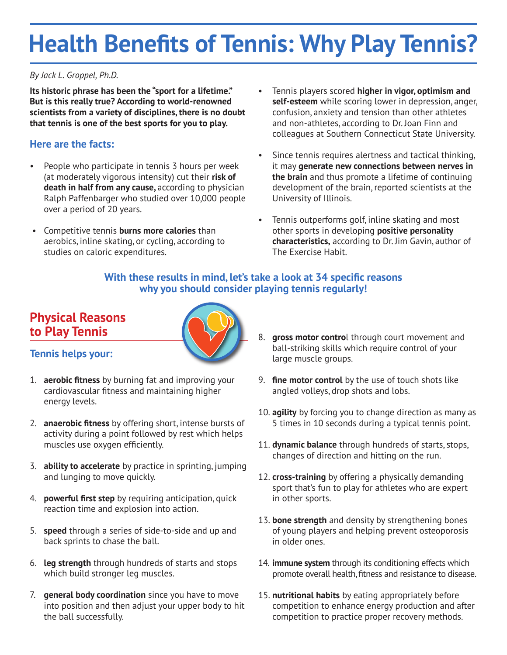# **Health Benefits of Tennis: Why Play Tennis?**

#### *By Jack L. Groppel, Ph.D.*

**Its historic phrase has been the "sport for a lifetime." But is this really true? According to world-renowned scientists from a variety of disciplines, there is no doubt that tennis is one of the best sports for you to play.**

## **Here are the facts:**

- People who participate in tennis 3 hours per week (at moderately vigorous intensity) cut their **risk of death in half from any cause,** according to physician Ralph Paffenbarger who studied over 10,000 people over a period of 20 years.
- Competitive tennis **burns more calories** than aerobics, inline skating, or cycling, according to studies on caloric expenditures.
- Tennis players scored **higher in vigor, optimism and self-esteem** while scoring lower in depression, anger, confusion, anxiety and tension than other athletes and non-athletes, according to Dr. Joan Finn and colleagues at Southern Connecticut State University.
- Since tennis requires alertness and tactical thinking, it may **generate new connections between nerves in the brain** and thus promote a lifetime of continuing development of the brain, reported scientists at the University of Illinois.
- Tennis outperforms golf, inline skating and most other sports in developing **positive personality characteristics,** according to Dr. Jim Gavin, author of The Exercise Habit.

### **With these results in mind, let's take a look at 34 specific reasons why you should consider playing tennis regularly!**

## **Physical Reasons to Play Tennis**



### **Tennis helps your:**

- 1. **aerobic fitness** by burning fat and improving your cardiovascular fitness and maintaining higher energy levels.
- 2. **anaerobic fitness** by offering short, intense bursts of activity during a point followed by rest which helps muscles use oxygen efficiently.
- 3. **ability to accelerate** by practice in sprinting, jumping and lunging to move quickly.
- 4. **powerful first step** by requiring anticipation, quick reaction time and explosion into action.
- 5. **speed** through a series of side-to-side and up and back sprints to chase the ball.
- 6. **leg strength** through hundreds of starts and stops which build stronger leg muscles.
- 7. **general body coordination** since you have to move into position and then adjust your upper body to hit the ball successfully.
- 8. **gross motor contro**l through court movement and ball-striking skills which require control of your large muscle groups.
- 9. **fine motor control** by the use of touch shots like angled volleys, drop shots and lobs.
- 10. **agility** by forcing you to change direction as many as 5 times in 10 seconds during a typical tennis point.
- 11. **dynamic balance** through hundreds of starts, stops, changes of direction and hitting on the run.
- 12. **cross-training** by offering a physically demanding sport that's fun to play for athletes who are expert in other sports.
- 13. **bone strength** and density by strengthening bones of young players and helping prevent osteoporosis in older ones.
- 14. **immune system** through its conditioning effects which promote overall health, fitness and resistance to disease.
- 15. **nutritional habits** by eating appropriately before competition to enhance energy production and after competition to practice proper recovery methods.